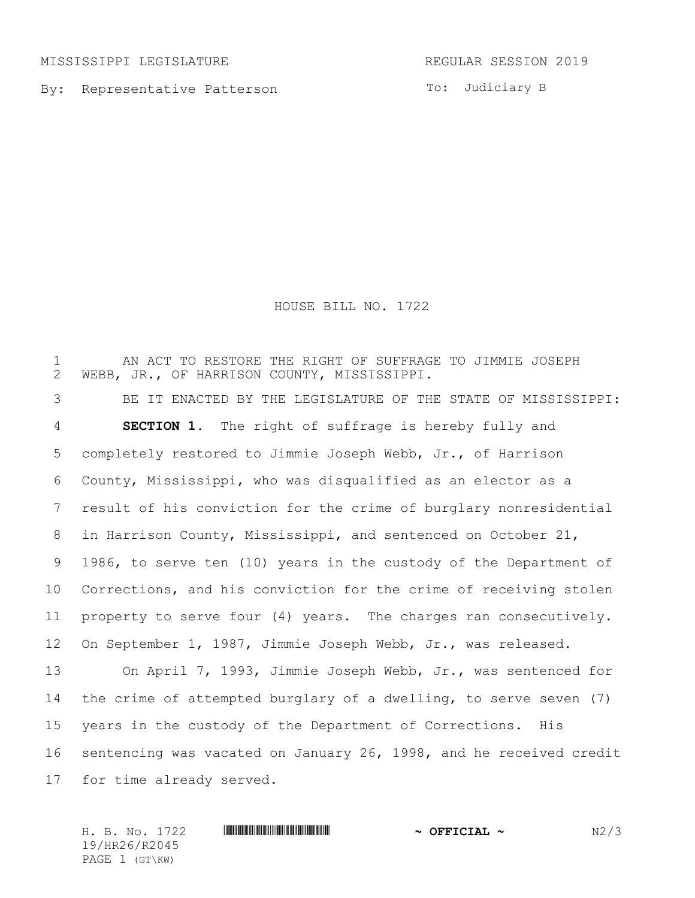MISSISSIPPI LEGISLATURE **REGULAR SESSION 2019** 

By: Representative Patterson

To: Judiciary B

HOUSE BILL NO. 1722

1 THE AN ACT TO RESTORE THE RIGHT OF SUFFRAGE TO JIMMIE JOSEPH 2 WEBB, JR., OF HARRISON COUNTY, MISSISSIPPI. WEBB, JR., OF HARRISON COUNTY, MISSISSIPPI. BE IT ENACTED BY THE LEGISLATURE OF THE STATE OF MISSISSIPPI: **SECTION 1.** The right of suffrage is hereby fully and completely restored to Jimmie Joseph Webb, Jr., of Harrison County, Mississippi, who was disqualified as an elector as a result of his conviction for the crime of burglary nonresidential in Harrison County, Mississippi, and sentenced on October 21, 1986, to serve ten (10) years in the custody of the Department of Corrections, and his conviction for the crime of receiving stolen property to serve four (4) years. The charges ran consecutively. On September 1, 1987, Jimmie Joseph Webb, Jr., was released. On April 7, 1993, Jimmie Joseph Webb, Jr., was sentenced for the crime of attempted burglary of a dwelling, to serve seven (7) years in the custody of the Department of Corrections. His sentencing was vacated on January 26, 1998, and he received credit for time already served.

H. B. No. 1722 **HREFREE REEL REEL ASSESSED AT A SECOND ASSESSED AS A DIFFERENT RE** 19/HR26/R2045 PAGE 1 (GT\KW)